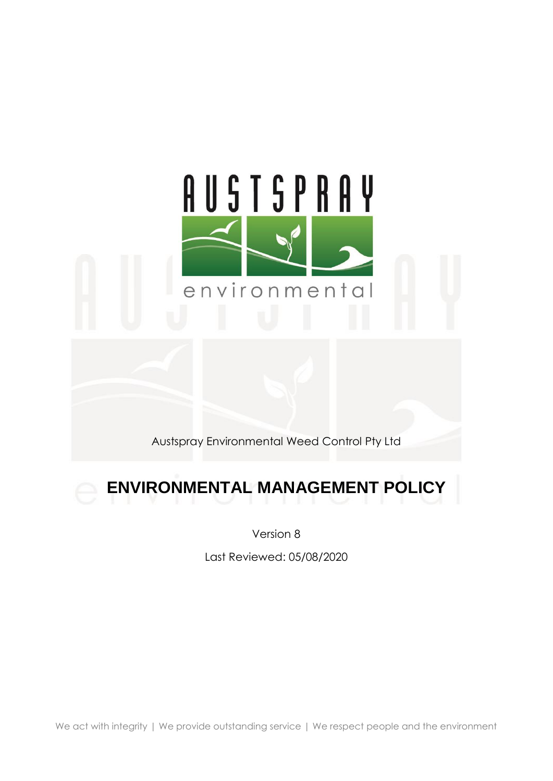

Austspray Environmental Weed Control Pty Ltd

# **ENVIRONMENTAL MANAGEMENT POLICY**

Version 8

Last Reviewed: 05/08/2020

We act with integrity | We provide outstanding service | We respect people and the environment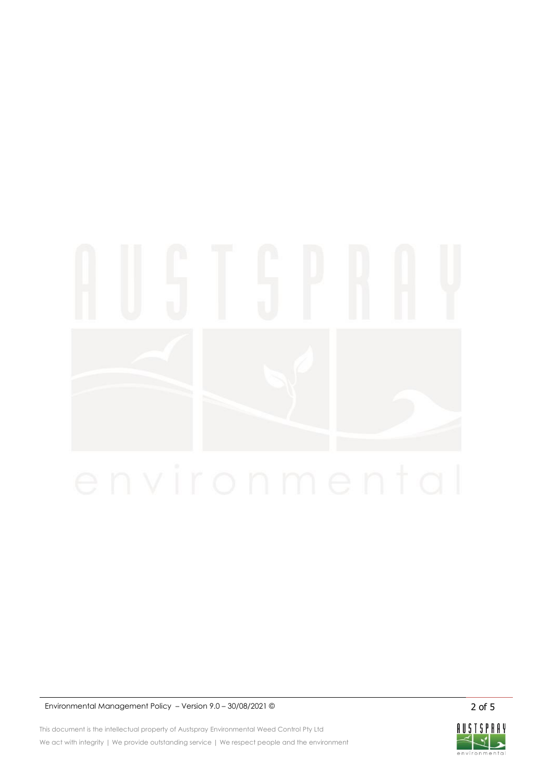Environmental Management Policy – Version  $9.0 - 30/08/2021$  @ 2 of 5

This document is the intellectual property of Austspray Environmental Weed Control Pty Ltd We act with integrity | We provide outstanding service | We respect people and the environment

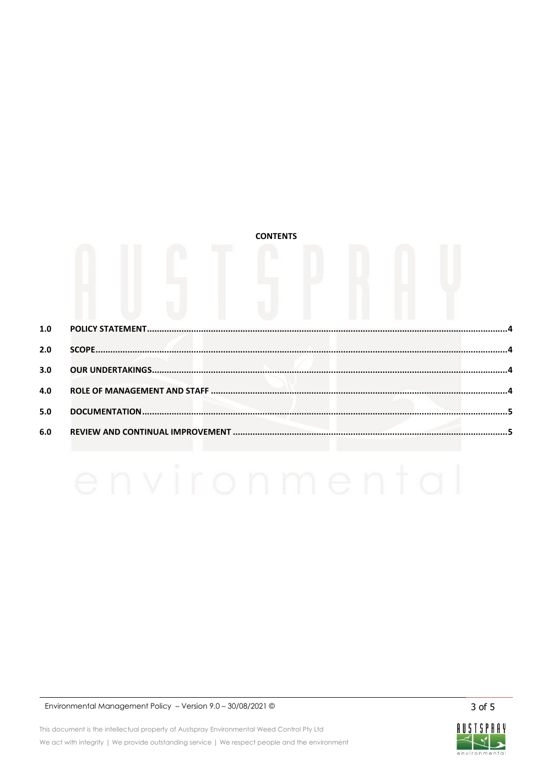## $1.0\,$ .......................4  $2.0$  $3.0$  $4.0$  $5.0$  $6.0\,$

**CONTENTS** 

Environmental Management Policy - Version 9.0 - 30/08/2021 ©



3 of 5

This document is the intellectual property of Austspray Environmental Weed Control Pty Ltd We act with integrity | We provide outstanding service | We respect people and the environment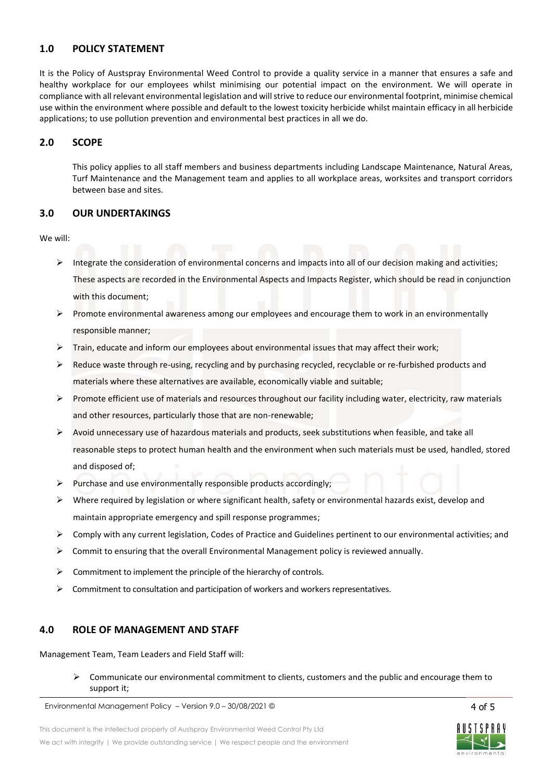### **1.0 POLICY STATEMENT**

It is the Policy of Austspray Environmental Weed Control to provide a quality service in a manner that ensures a safe and healthy workplace for our employees whilst minimising our potential impact on the environment. We will operate in compliance with all relevant environmental legislation and will strive to reduce our environmental footprint, minimise chemical use within the environment where possible and default to the lowest toxicity herbicide whilst maintain efficacy in all herbicide applications; to use pollution prevention and environmental best practices in all we do.

### **2.0 SCOPE**

This policy applies to all staff members and business departments including Landscape Maintenance, Natural Areas, Turf Maintenance and the Management team and applies to all workplace areas, worksites and transport corridors between base and sites.

### **3.0 OUR UNDERTAKINGS**

We will:

- Integrate the consideration of environmental concerns and impacts into all of our decision making and activities; These aspects are recorded in the Environmental Aspects and Impacts Register, which should be read in conjunction with this document;
- $\triangleright$  Promote environmental awareness among our employees and encourage them to work in an environmentally responsible manner;
- $\triangleright$  Train, educate and inform our employees about environmental issues that may affect their work;
- $\triangleright$  Reduce waste through re-using, recycling and by purchasing recycled, recyclable or re-furbished products and materials where these alternatives are available, economically viable and suitable;
- $\triangleright$  Promote efficient use of materials and resources throughout our facility including water, electricity, raw materials and other resources, particularly those that are non-renewable;
- $\triangleright$  Avoid unnecessary use of hazardous materials and products, seek substitutions when feasible, and take all reasonable steps to protect human health and the environment when such materials must be used, handled, stored and disposed of;
- $\triangleright$  Purchase and use environmentally responsible products accordingly;
- $\triangleright$  Where required by legislation or where significant health, safety or environmental hazards exist, develop and maintain appropriate emergency and spill response programmes;
- $\triangleright$  Comply with any current legislation, Codes of Practice and Guidelines pertinent to our environmental activities; and
- $\triangleright$  Commit to ensuring that the overall Environmental Management policy is reviewed annually.
- $\triangleright$  Commitment to implement the principle of the hierarchy of controls.
- $\triangleright$  Commitment to consultation and participation of workers and workers representatives.

### **4.0 ROLE OF MANAGEMENT AND STAFF**

Management Team, Team Leaders and Field Staff will:

 $\triangleright$  Communicate our environmental commitment to clients, customers and the public and encourage them to support it;

Environmental Management Policy  $-$  Version  $9.0 - 30/08/2021$  @  $4$  of 5

This document is the intellectual property of Austspray Environmental Weed Control Pty Ltd We act with integrity | We provide outstanding service | We respect people and the environment